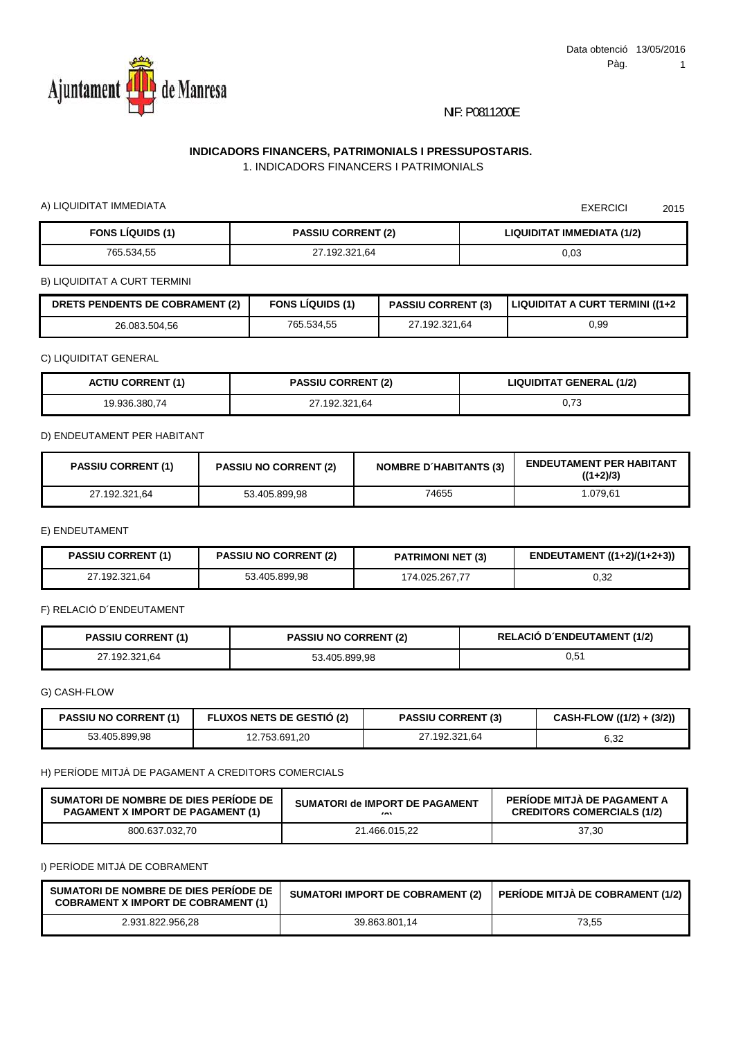

NIF: P0811200E

# **INDICADORS FINANCERS, PATRIMONIALS I PRESSUPOSTARIS.**

1. INDICADORS FINANCERS I PATRIMONIALS

A) LIQUIDITAT IMMEDIATA AND THE SERIES OF THE SERIES OF THE SERIES OF THE SERIES OF THE SERIES OF THE 2015

| <b>FONS LIQUIDS (1)</b> | <b>PASSIU CORRENT (2)</b> | <b>LIQUIDITAT IMMEDIATA (1/2)</b> |
|-------------------------|---------------------------|-----------------------------------|
| 765.534.55              | 27.192.321,64             | 0.03                              |

#### B) LIQUIDITAT A CURT TERMINI

| <b>DRETS PENDENTS DE COBRAMENT (2)</b> | <b>FONS LIQUIDS (1)</b> | <b>PASSIU CORRENT (3)</b> | LIQUIDITAT A CURT TERMINI ((1+2) |
|----------------------------------------|-------------------------|---------------------------|----------------------------------|
| 26.083.504.56                          | 765.534.55              | 27.192.321.64             | 0.99                             |

#### C) LIQUIDITAT GENERAL

| <b>ACTIU CORRENT (1)</b> | <b>PASSIU CORRENT (2)</b> | <b>LIQUIDITAT GENERAL (1/2)</b>   |
|--------------------------|---------------------------|-----------------------------------|
| 9.936.380،               | 27.192.321,64             | $\overline{\phantom{a}}$<br>∪,≀ ∪ |

#### D) ENDEUTAMENT PER HABITANT

| <b>PASSIU CORRENT (1)</b> | <b>PASSIU NO CORRENT (2)</b> | <b>NOMBRE D'HABITANTS (3)</b> | <b>ENDEUTAMENT PER HABITANT</b><br>$((1+2)/3)$ |
|---------------------------|------------------------------|-------------------------------|------------------------------------------------|
| 27.192.321.64             | 53.405.899,98                | 74655                         | .079.61                                        |

### E) ENDEUTAMENT

| <b>PASSIU CORRENT (1)</b> | <b>PASSIU NO CORRENT (2)</b> | <b>PATRIMONI NET (3)</b> | ENDEUTAMENT $((1+2)/(1+2+3))$ |
|---------------------------|------------------------------|--------------------------|-------------------------------|
| 27.192.321.64             | 53.405.899.98                | 174.025.267.77           | 0.32                          |

F) RELACIÓ D´ENDEUTAMENT

| <b>PASSIU CORRENT (1)</b> | <b>PASSIU NO CORRENT (2)</b> | <b>RELACIÓ D'ENDEUTAMENT (1/2)</b> |
|---------------------------|------------------------------|------------------------------------|
| 27.192.321,64             | 53.405.899.98                | 0.51                               |

G) CASH-FLOW

| <b>PASSIU NO CORRENT (1)</b> | <b>FLUXOS NETS DE GESTIO (2)</b> | <b>PASSIU CORRENT (3)</b> | CASH-FLOW ((1/2) + (3/2)) |
|------------------------------|----------------------------------|---------------------------|---------------------------|
| 53.405.899.98                | 12.753.691.20                    | 27.192.321.64             | 6,32                      |

#### H) PERÍODE MITJÀ DE PAGAMENT A CREDITORS COMERCIALS

| SUMATORI DE NOMBRE DE DIES PERIODE DE    | SUMATORI de IMPORT DE PAGAMENT | PERIODE MITJA DE PAGAMENT A       |
|------------------------------------------|--------------------------------|-----------------------------------|
| <b>PAGAMENT X IMPORT DE PAGAMENT (1)</b> | $\sim$                         | <b>CREDITORS COMERCIALS (1/2)</b> |
| 800.637.032.70                           | 21.466.015.22                  | 37,30                             |

I) PERÍODE MITJÀ DE COBRAMENT

| SUMATORI DE NOMBRE DE DIES PERIODE DE<br><b>COBRAMENT X IMPORT DE COBRAMENT (1)</b> | <b>SUMATORI IMPORT DE COBRAMENT (2)</b> | <b>PERIODE MITJA DE COBRAMENT (1/2)</b> |
|-------------------------------------------------------------------------------------|-----------------------------------------|-----------------------------------------|
| 2.931.822.956.28                                                                    | 39.863.801.14                           | 73,55                                   |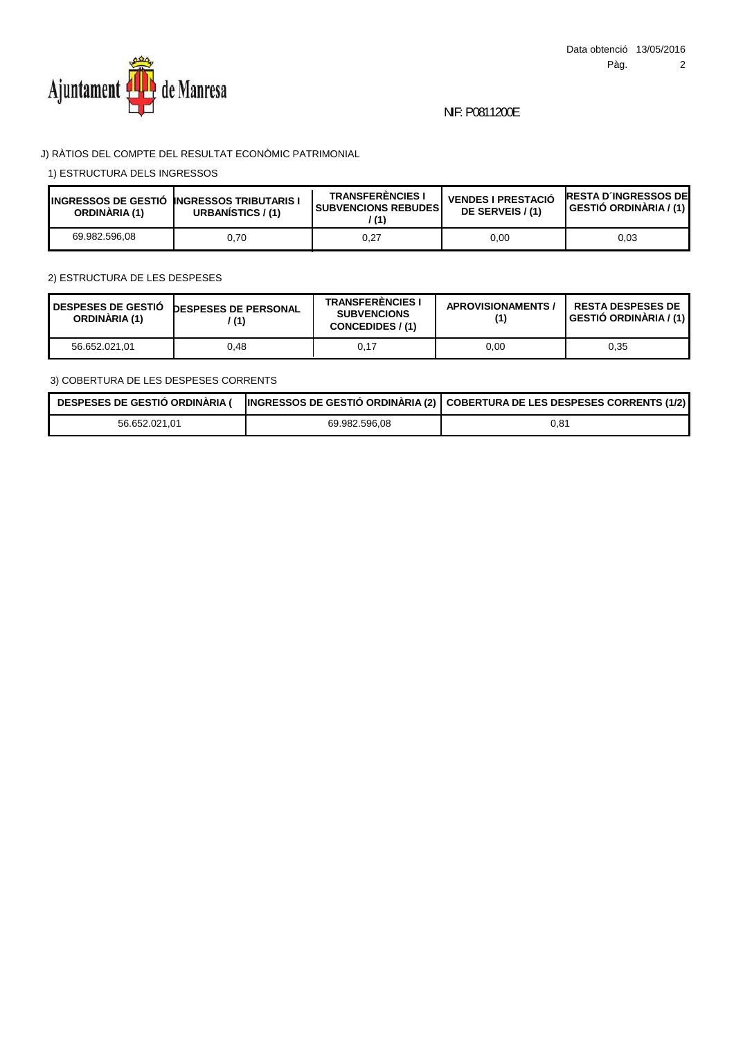

## J) RÀTIOS DEL COMPTE DEL RESULTAT ECONÒMIC PATRIMONIAL

## 1) ESTRUCTURA DELS INGRESSOS

| <b>ORDINARIA (1)</b> | <b>INGRESSOS DE GESTIO INGRESSOS TRIBUTARIS I</b><br>URBANISTICS / (1) | <b>TRANSFERENCIES I</b><br><b>SUBVENCIONS REBUDES</b><br>/ (1) | <b>VENDES I PRESTACIÓ</b><br>DE SERVEIS / (1) | <b>IRESTA D'INGRESSOS DEI</b><br><b>GESTIO ORDINARIA / (1)</b> |
|----------------------|------------------------------------------------------------------------|----------------------------------------------------------------|-----------------------------------------------|----------------------------------------------------------------|
| 69.982.596.08        | 0.70                                                                   | 0,27                                                           | 0.00                                          | 0.03                                                           |

## 2) ESTRUCTURA DE LES DESPESES

| <b>I DESPESES DE GESTIO</b><br><b>ORDINARIA (1)</b> | <b>DESPESES DE PERSONAL</b><br>(1) | <b>TRANSFERENCIES I</b><br><b>SUBVENCIONS</b><br>CONCEDIDES / (1) | <b>APROVISIONAMENTS</b> | <b>RESTA DESPESES DE</b><br><b>GESTIO ORDINARIA / (1)</b> |
|-----------------------------------------------------|------------------------------------|-------------------------------------------------------------------|-------------------------|-----------------------------------------------------------|
| 56.652.021.01                                       | 0.48                               |                                                                   | 0,00                    | 0,35                                                      |

## 3) COBERTURA DE LES DESPESES CORRENTS

| <b>DESPESES DE GESTIO ORDINARIA (</b> |               | (  INGRESSOS DE GESTIÓ ORDINARIA (2)    COBERTURA DE LES DESPESES CORRENTS (1/2) |
|---------------------------------------|---------------|----------------------------------------------------------------------------------|
| 56.652.021.01                         | 69.982.596.08 | 0.81                                                                             |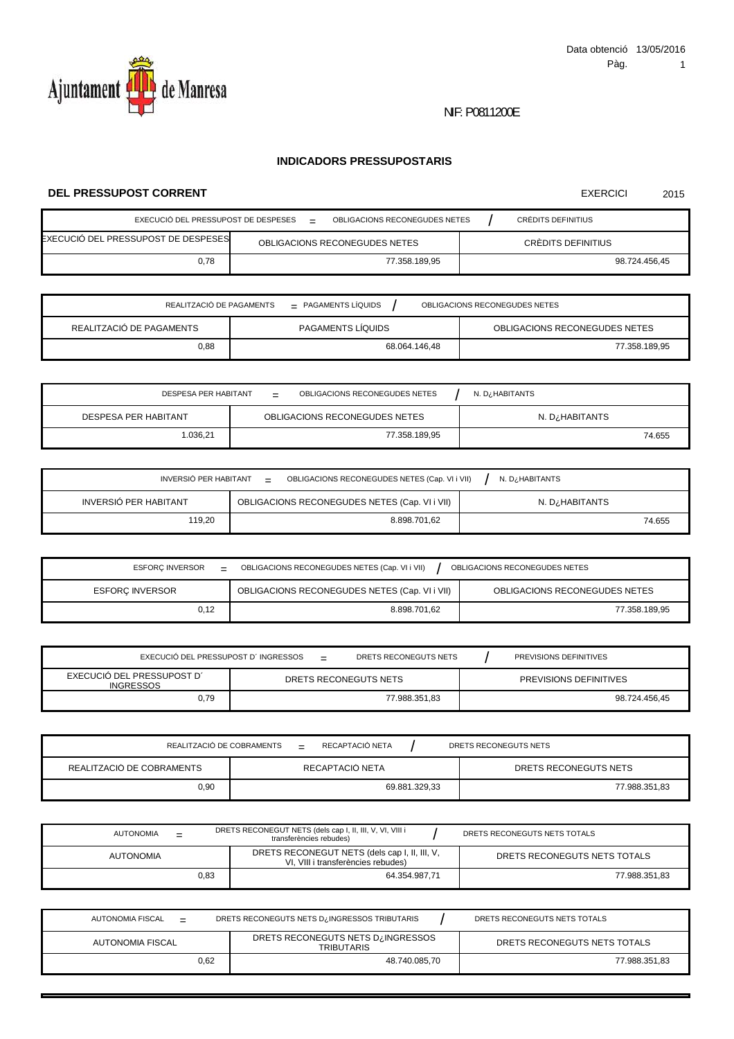

EXERCICI 2015

# **INDICADORS PRESSUPOSTARIS**

# **DEL PRESSUPOST CORRENT**

| EXECUCIÓ DEL PRESSUPOST DE DESPESES  | OBLIGACIONS RECONEGUDES NETES | CRÉDITS DEFINITIUS |
|--------------------------------------|-------------------------------|--------------------|
| EXECUCIÓ DEL PRESSUPOST DE DESPESESI | OBLIGACIONS RECONEGUDES NETES | CRÉDITS DEFINITIUS |
| 0.78                                 | 77.358.189.95                 | 98.724.456.45      |

| - PAGAMENTS LÍQUIDS<br>REALITZACIO DE PAGAMENTS<br>OBLIGACIONS RECONEGUDES NETES |                   |                               |  |
|----------------------------------------------------------------------------------|-------------------|-------------------------------|--|
| REALITZACIÓ DE PAGAMENTS                                                         | PAGAMENTS LÍQUIDS | OBLIGACIONS RECONEGUDES NETES |  |
| 0,88                                                                             | 68.064.146,48     | 77.358.189,95                 |  |

| <b>DESPESA PER HABITANT</b> | OBLIGACIONS RECONEGUDES NETES<br>$=$ | N. D. HABITANTS |
|-----------------------------|--------------------------------------|-----------------|
| DESPESA PER HABITANT        | OBLIGACIONS RECONEGUDES NETES        | N. D¿HABITANTS  |
| .036,21                     | 77.358.189.95                        | 74.655          |

| INVERSIÓ PER HABITANT<br>OBLIGACIONS RECONEGUDES NETES (Cap. VI i VII)<br>N. D. HABITANTS<br>$=$ |              |        |  |  |
|--------------------------------------------------------------------------------------------------|--------------|--------|--|--|
| INVERSIÓ PER HABITANT<br>OBLIGACIONS RECONEGUDES NETES (Cap. VI i VII)<br>N. D¿HABITANTS         |              |        |  |  |
| 119.20                                                                                           | 8.898.701,62 | 74.655 |  |  |

| <b>ESFORC INVERSOR</b><br>$=$ | OBLIGACIONS RECONEGUDES NETES (Cap. VI i VII)<br>OBLIGACIONS RECONEGUDES NETES |                               |  |  |  |
|-------------------------------|--------------------------------------------------------------------------------|-------------------------------|--|--|--|
| ESFORC INVERSOR               | OBLIGACIONS RECONEGUDES NETES (Cap. VI i VII)                                  | OBLIGACIONS RECONEGUDES NETES |  |  |  |
| 0,12                          | 8.898.701.62                                                                   | 77.358.189.95                 |  |  |  |

| EXECUCIÓ DEL PRESSUPOST D'INGRESSOS            | $=$ | DRETS RECONEGUTS NETS | PREVISIONS DEFINITIVES |
|------------------------------------------------|-----|-----------------------|------------------------|
| EXECUCIÓ DEL PRESSUPOST D'<br><b>INGRESSOS</b> |     | DRETS RECONEGUTS NETS | PREVISIONS DEFINITIVES |
| ง.79                                           |     | 77.988.351.83         | 98.724.456.45          |

| REALITZACIÓ DE COBRAMENTS | $=$           | RECAPTACIÓ NETA | DRETS RECONEGUTS NETS |
|---------------------------|---------------|-----------------|-----------------------|
| REALITZACIÓ DE COBRAMENTS |               | RECAPTACIÓ NETA | DRETS RECONEGUTS NETS |
| 0,90                      | 69.881.329.33 |                 | 77.988.351.83         |

| AUTONOMIA        | $=$  | DRETS RECONEGUT NETS (dels cap I, II, III, V, VI, VIII i<br>transferències rebudes) | DRETS RECONEGUTS NETS TOTALS |
|------------------|------|-------------------------------------------------------------------------------------|------------------------------|
| <b>AUTONOMIA</b> |      | DRETS RECONEGUT NETS (dels cap I, II, III, V,<br>VI. VIII i transferències rebudes) | DRETS RECONEGUTS NETS TOTALS |
|                  | 0,83 | 64.354.987.71                                                                       | 77.988.351.83                |

| AUTONOMIA FISCAL<br>$=$ | DRETS RECONEGUTS NETS D <sub>i</sub> INGRESSOS TRIBUTARIS | DRETS RECONEGUTS NETS TOTALS |
|-------------------------|-----------------------------------------------------------|------------------------------|
| AUTONOMIA FISCAL        | DRETS RECONEGUTS NETS D. INGRESSOS<br>TRIBUTARIS          | DRETS RECONEGUTS NETS TOTALS |
| 0,62                    | 48.740.085.70                                             | 77.988.351.83                |